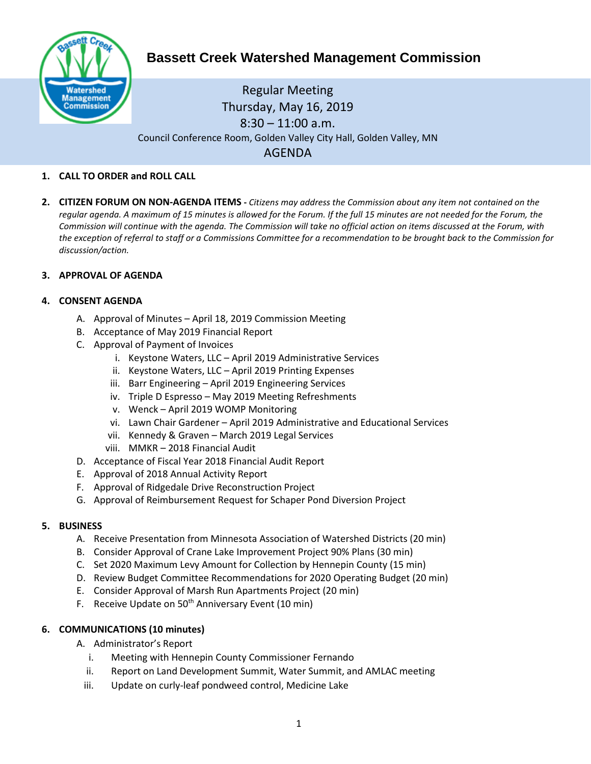

# **Bassett Creek Watershed Management Commission**

# Regular Meeting Thursday, May 16, 2019  $8:30 - 11:00$  a.m. Council Conference Room, Golden Valley City Hall, Golden Valley, MN AGENDA

## **1. CALL TO ORDER and ROLL CALL**

**2. CITIZEN FORUM ON NON-AGENDA ITEMS -** *Citizens may address the Commission about any item not contained on the regular agenda. A maximum of 15 minutes is allowed for the Forum. If the full 15 minutes are not needed for the Forum, the Commission will continue with the agenda. The Commission will take no official action on items discussed at the Forum, with the exception of referral to staff or a Commissions Committee for a recommendation to be brought back to the Commission for discussion/action.*

#### **3. APPROVAL OF AGENDA**

#### **4. CONSENT AGENDA**

- A. Approval of Minutes April 18, 2019 Commission Meeting
- B. Acceptance of May 2019 Financial Report
- C. Approval of Payment of Invoices
	- i. Keystone Waters, LLC April 2019 Administrative Services
	- ii. Keystone Waters, LLC April 2019 Printing Expenses
	- iii. Barr Engineering April 2019 Engineering Services
	- iv. Triple D Espresso May 2019 Meeting Refreshments
	- v. Wenck April 2019 WOMP Monitoring
	- vi. Lawn Chair Gardener April 2019 Administrative and Educational Services
	- vii. Kennedy & Graven March 2019 Legal Services
	- viii. MMKR 2018 Financial Audit
- D. Acceptance of Fiscal Year 2018 Financial Audit Report
- E. Approval of 2018 Annual Activity Report
- F. Approval of Ridgedale Drive Reconstruction Project
- G. Approval of Reimbursement Request for Schaper Pond Diversion Project

## **5. BUSINESS**

- A. Receive Presentation from Minnesota Association of Watershed Districts (20 min)
- B. Consider Approval of Crane Lake Improvement Project 90% Plans (30 min)
- C. Set 2020 Maximum Levy Amount for Collection by Hennepin County (15 min)
- D. Review Budget Committee Recommendations for 2020 Operating Budget (20 min)
- E. Consider Approval of Marsh Run Apartments Project (20 min)
- F. Receive Update on  $50<sup>th</sup>$  Anniversary Event (10 min)

## **6. COMMUNICATIONS (10 minutes)**

- A. Administrator's Report
	- i. Meeting with Hennepin County Commissioner Fernando
	- ii. Report on Land Development Summit, Water Summit, and AMLAC meeting
	- iii. Update on curly-leaf pondweed control, Medicine Lake